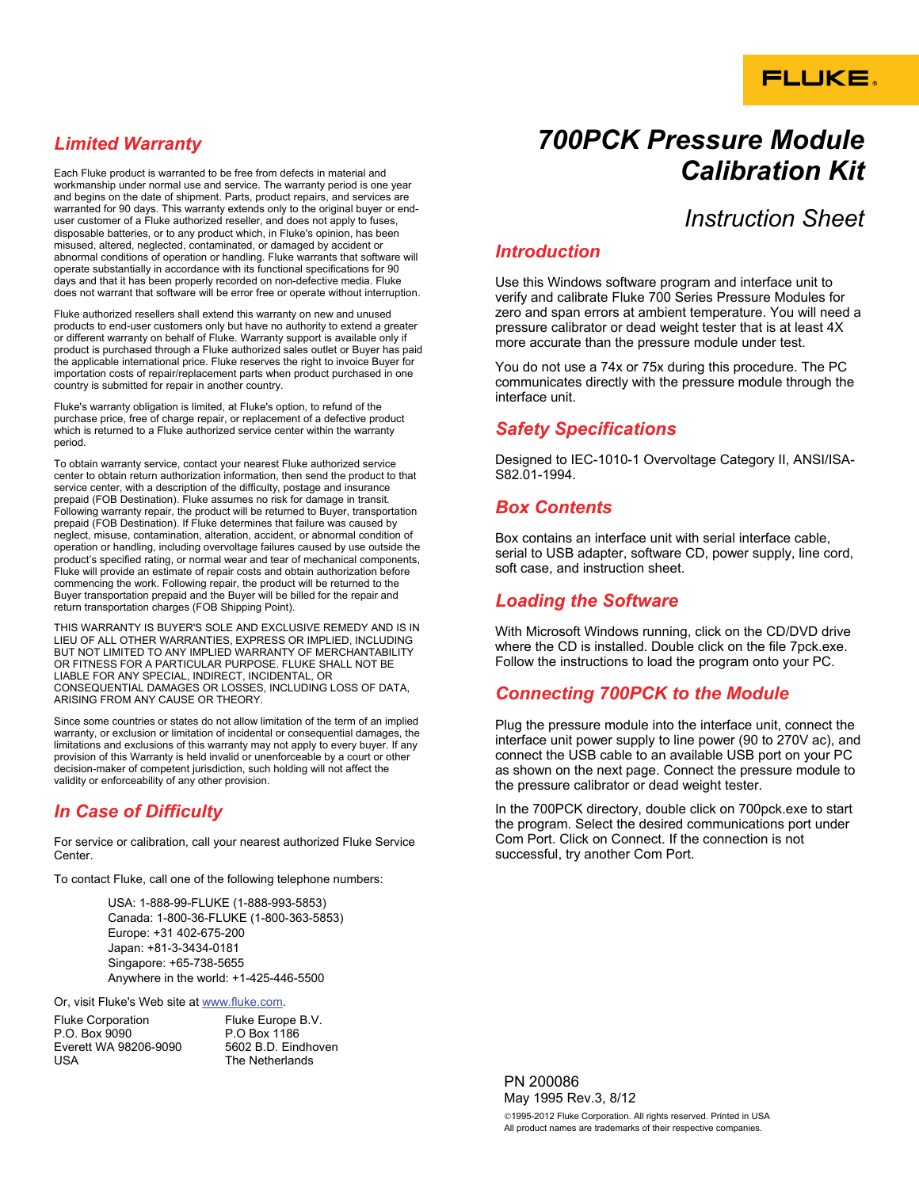# **FLUKE.**

## *Limited Warranty*

Each Fluke product is warranted to be free from defects in material and workmanship under normal use and service. The warranty period is one year and begins on the date of shipment. Parts, product repairs, and services are warranted for 90 days. This warranty extends only to the original buyer or enduser customer of a Fluke authorized reseller, and does not apply to fuses, disposable batteries, or to any product which, in Fluke's opinion, has been misused, altered, neglected, contaminated, or damaged by accident or abnormal conditions of operation or handling. Fluke warrants that software will operate substantially in accordance with its functional specifications for 90 days and that it has been properly recorded on non-defective media. Fluke does not warrant that software will be error free or operate without interruption.

Fluke authorized resellers shall extend this warranty on new and unused products to end-user customers only but have no authority to extend a greater or different warranty on behalf of Fluke. Warranty support is available only if product is purchased through a Fluke authorized sales outlet or Buyer has paid the applicable international price. Fluke reserves the right to invoice Buyer for importation costs of repair/replacement parts when product purchased in one country is submitted for repair in another country.

Fluke's warranty obligation is limited, at Fluke's option, to refund of the purchase price, free of charge repair, or replacement of a defective product which is returned to a Fluke authorized service center within the warranty period.

To obtain warranty service, contact your nearest Fluke authorized service center to obtain return authorization information, then send the product to that service center, with a description of the difficulty, postage and insurance prepaid (FOB Destination). Fluke assumes no risk for damage in transit. Following warranty repair, the product will be returned to Buyer, transportation prepaid (FOB Destination). If Fluke determines that failure was caused by neglect, misuse, contamination, alteration, accident, or abnormal condition of operation or handling, including overvoltage failures caused by use outside the product's specified rating, or normal wear and tear of mechanical components, Fluke will provide an estimate of repair costs and obtain authorization before commencing the work. Following repair, the product will be returned to the Buyer transportation prepaid and the Buyer will be billed for the repair and return transportation charges (FOB Shipping Point).

THIS WARRANTY IS BUYER'S SOLE AND EXCLUSIVE REMEDY AND IS IN LIEU OF ALL OTHER WARRANTIES, EXPRESS OR IMPLIED, INCLUDING BUT NOT LIMITED TO ANY IMPLIED WARRANTY OF MERCHANTABILITY OR FITNESS FOR A PARTICULAR PURPOSE. FLUKE SHALL NOT BE LIABLE FOR ANY SPECIAL, INDIRECT, INCIDENTAL, OR CONSEQUENTIAL DAMAGES OR LOSSES, INCLUDING LOSS OF DATA, ARISING FROM ANY CAUSE OR THEORY.

Since some countries or states do not allow limitation of the term of an implied warranty, or exclusion or limitation of incidental or consequential damages, the limitations and exclusions of this warranty may not apply to every buyer. If any provision of this Warranty is held invalid or unenforceable by a court or other decision-maker of competent jurisdiction, such holding will not affect the validity or enforceability of any other provision.

## *In Case of Difficulty*

For service or calibration, call your nearest authorized Fluke Service Center.

To contact Fluke, call one of the following telephone numbers:

USA: 1-888-99-FLUKE (1-888-993-5853) Canada: 1-800-36-FLUKE (1-800-363-5853) Europe: +31 402-675-200 Japan: +81-3-3434-0181 Singapore: +65-738-5655 Anywhere in the world: +1-425-446-5500

Or, visit Fluke's Web site at www.fluke.com.

| <b>Fluke Corporation</b> |  |
|--------------------------|--|
| P.O. Box 9090            |  |
| Everett WA 98206-9090    |  |
| USA                      |  |

Fluke Europe B.V. P.O Box 1186 5602 B.D. Eindhoven The Netherlands

# *700PCK Pressure Module Calibration Kit*

## *Instruction Sheet*

#### *Introduction*

Use this Windows software program and interface unit to verify and calibrate Fluke 700 Series Pressure Modules for zero and span errors at ambient temperature. You will need a pressure calibrator or dead weight tester that is at least 4X more accurate than the pressure module under test.

You do not use a 74x or 75x during this procedure. The PC communicates directly with the pressure module through the interface unit.

#### *Safety Specifications*

Designed to IEC-1010-1 Overvoltage Category II, ANSI/ISA-S82.01-1994.

#### *Box Contents*

Box contains an interface unit with serial interface cable, serial to USB adapter, software CD, power supply, line cord, soft case, and instruction sheet.

#### *Loading the Software*

With Microsoft Windows running, click on the CD/DVD drive where the CD is installed. Double click on the file 7pck.exe. Follow the instructions to load the program onto your PC.

## *Connecting 700PCK to the Module*

Plug the pressure module into the interface unit, connect the interface unit power supply to line power (90 to 270V ac), and connect the USB cable to an available USB port on your PC as shown on the next page. Connect the pressure module to the pressure calibrator or dead weight tester.

In the 700PCK directory, double click on 700pck.exe to start the program. Select the desired communications port under Com Port. Click on Connect. If the connection is not successful, try another Com Port.

PN 200086 May 1995 Rev.3, 8/12 ©1995-2012 Fluke Corporation. All rights reserved. Printed in USA All product names are trademarks of their respective companies.